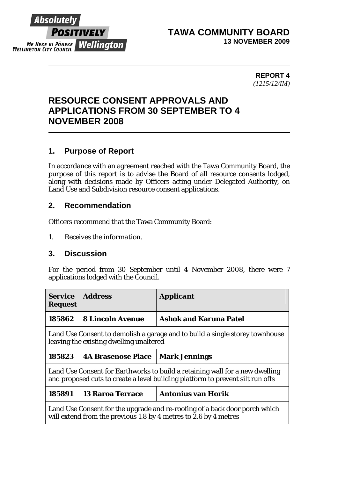

#### **TAWA COMMUNITY BOARD 13 NOVEMBER 2009**

**REPORT 4**  *(1215/12/IM)* 

# **RESOURCE CONSENT APPROVALS AND APPLICATIONS FROM 30 SEPTEMBER TO 4 NOVEMBER 2008**

# **1. Purpose of Report**

In accordance with an agreement reached with the Tawa Community Board, the purpose of this report is to advise the Board of all resource consents lodged, along with decisions made by Officers acting under Delegated Authority, on Land Use and Subdivision resource consent applications.

#### **2. Recommendation**

Officers recommend that the Tawa Community Board:

*1. Receives the information.* 

## **3. Discussion**

For the period from 30 September until 4 November 2008, there were 7 applications lodged with the Council.

| <i><b>Service</b></i><br><b>Request</b>                                                                                                                        | <b>Address</b>            | <b>Applicant</b>              |  |
|----------------------------------------------------------------------------------------------------------------------------------------------------------------|---------------------------|-------------------------------|--|
| 185862                                                                                                                                                         | <b>8 Lincoln Avenue</b>   | <b>Ashok and Karuna Patel</b> |  |
| Land Use Consent to demolish a garage and to build a single storey townhouse<br>leaving the existing dwelling unaltered                                        |                           |                               |  |
| 185823                                                                                                                                                         | <b>4A Brasenose Place</b> | <b>Mark Jennings</b>          |  |
| Land Use Consent for Earthworks to build a retaining wall for a new dwelling<br>and proposed cuts to create a level building platform to prevent silt run offs |                           |                               |  |
| 185891                                                                                                                                                         | <b>13 Raroa Terrace</b>   | <b>Antonius van Horik</b>     |  |
| Land Use Consent for the upgrade and re-roofing of a back door porch which<br>will extend from the previous 1.8 by 4 metres to 2.6 by 4 metres                 |                           |                               |  |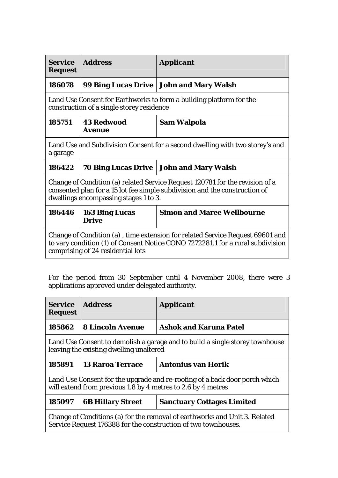| <b>Service</b><br><b>Request</b>                                                                                                                                                                     | <b>Address</b>                        | <i><b>Applicant</b></i>                   |  |
|------------------------------------------------------------------------------------------------------------------------------------------------------------------------------------------------------|---------------------------------------|-------------------------------------------|--|
| 186078                                                                                                                                                                                               |                                       | 99 Bing Lucas Drive   John and Mary Walsh |  |
| Land Use Consent for Earthworks to form a building platform for the<br>construction of a single storey residence                                                                                     |                                       |                                           |  |
| 185751                                                                                                                                                                                               | <b>43 Redwood</b><br><b>Avenue</b>    | Sam Walpola                               |  |
| Land Use and Subdivision Consent for a second dwelling with two storey's and<br>a garage                                                                                                             |                                       |                                           |  |
| 186422                                                                                                                                                                                               |                                       | 70 Bing Lucas Drive   John and Mary Walsh |  |
| Change of Condition (a) related Service Request 120781 for the revision of a<br>consented plan for a 15 lot fee simple subdivision and the construction of<br>dwellings encompassing stages 1 to 3.  |                                       |                                           |  |
| 186446                                                                                                                                                                                               | <b>163 Bing Lucas</b><br><b>Drive</b> | <b>Simon and Maree Wellbourne</b>         |  |
| Change of Condition (a), time extension for related Service Request 69601 and<br>to vary condition (1) of Consent Notice CONO 7272281.1 for a rural subdivision<br>comprising of 24 residential lots |                                       |                                           |  |

For the period from 30 September until 4 November 2008, there were 3 applications approved under delegated authority.

| <i><b>Service</b></i><br><b>Request</b>                                                                                                      | <b>Address</b>           | <b>Applicant</b>                  |  |
|----------------------------------------------------------------------------------------------------------------------------------------------|--------------------------|-----------------------------------|--|
| 185862                                                                                                                                       | <b>8 Lincoln Avenue</b>  | <b>Ashok and Karuna Patel</b>     |  |
| Land Use Consent to demolish a garage and to build a single storey townhouse<br>leaving the existing dwelling unaltered                      |                          |                                   |  |
| 185891                                                                                                                                       | <b>13 Raroa Terrace</b>  | <b>Antonius van Horik</b>         |  |
| Land Use Consent for the upgrade and re-roofing of a back door porch which<br>will extend from previous 1.8 by 4 metres to 2.6 by 4 metres   |                          |                                   |  |
| 185097                                                                                                                                       | <b>6B Hillary Street</b> | <b>Sanctuary Cottages Limited</b> |  |
| Change of Conditions (a) for the removal of earthworks and Unit 3. Related<br>Service Request 176388 for the construction of two townhouses. |                          |                                   |  |